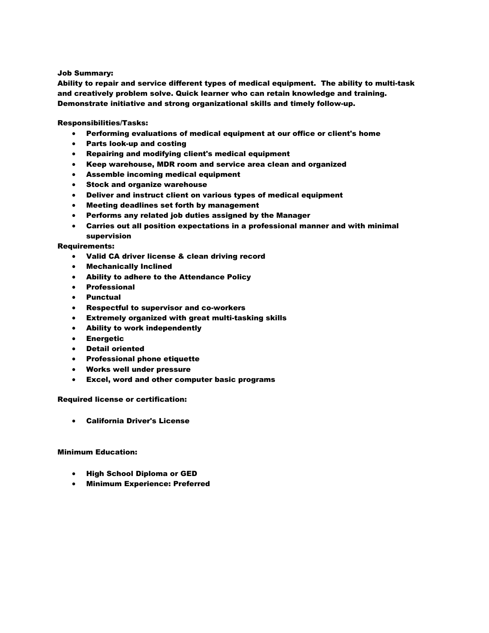#### Job Summary:

Ability to repair and service different types of medical equipment. The ability to multi-task and creatively problem solve. Quick learner who can retain knowledge and training. Demonstrate initiative and strong organizational skills and timely follow-up.

Responsibilities/Tasks:

- Performing evaluations of medical equipment at our office or client's home
- Parts look-up and costing
- Repairing and modifying client's medical equipment
- Keep warehouse, MDR room and service area clean and organized
- Assemble incoming medical equipment
- Stock and organize warehouse
- Deliver and instruct client on various types of medical equipment
- Meeting deadlines set forth by management
- Performs any related job duties assigned by the Manager
- Carries out all position expectations in a professional manner and with minimal supervision

## Requirements:

- Valid CA driver license & clean driving record
- Mechanically Inclined
- Ability to adhere to the Attendance Policy
- Professional
- Punctual
- Respectful to supervisor and co-workers
- Extremely organized with great multi-tasking skills
- Ability to work independently
- Energetic
- Detail oriented
- Professional phone etiquette
- Works well under pressure
- Excel, word and other computer basic programs

### Required license or certification:

California Driver's License

#### Minimum Education:

- High School Diploma or GED
- Minimum Experience: Preferred